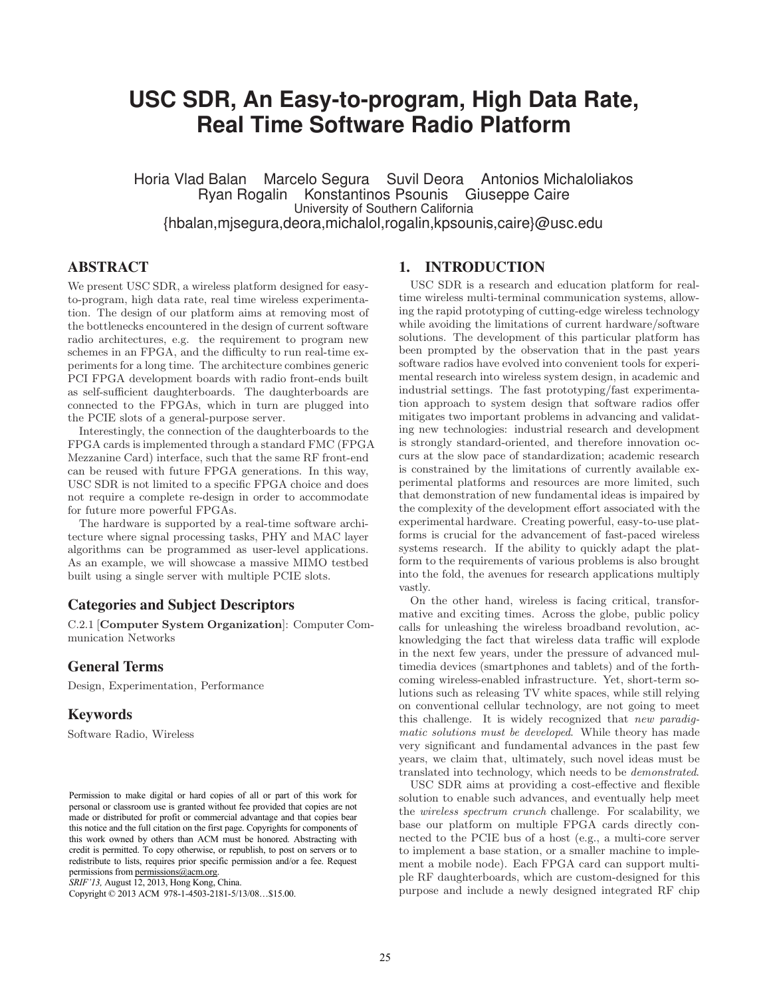# **USC SDR, An Easy-to-program, High Data Rate, Real Time Software Radio Platform**

Horia Vlad Balan Marcelo Segura Suvil Deora Antonios Michaloliakos Ryan Rogalin Konstantinos Psounis University of Southern California {hbalan,mjsegura,deora,michalol,rogalin,kpsounis,caire}@usc.edu

## ABSTRACT

We present USC SDR, a wireless platform designed for easyto-program, high data rate, real time wireless experimentation. The design of our platform aims at removing most of the bottlenecks encountered in the design of current software radio architectures, e.g. the requirement to program new schemes in an FPGA, and the difficulty to run real-time experiments for a long time. The architecture combines generic PCI FPGA development boards with radio front-ends built as self-sufficient daughterboards. The daughterboards are connected to the FPGAs, which in turn are plugged into the PCIE slots of a general-purpose server.

Interestingly, the connection of the daughterboards to the FPGA cards is implemented through a standard FMC (FPGA Mezzanine Card) interface, such that the same RF front-end can be reused with future FPGA generations. In this way, USC SDR is not limited to a specific FPGA choice and does not require a complete re-design in order to accommodate for future more powerful FPGAs.

The hardware is supported by a real-time software architecture where signal processing tasks, PHY and MAC layer algorithms can be programmed as user-level applications. As an example, we will showcase a massive MIMO testbed built using a single server with multiple PCIE slots.

#### Categories and Subject Descriptors

C.2.1 [Computer System Organization]: Computer Communication Networks

#### General Terms

Design, Experimentation, Performance

#### **Keywords**

Software Radio, Wireless

*SRIF'13,* August 12, 2013, Hong Kong, China.

Copyright © 2013 ACM 978-1-4503-2181-5/13/08…\$15.00.

## 1. INTRODUCTION

USC SDR is a research and education platform for realtime wireless multi-terminal communication systems, allowing the rapid prototyping of cutting-edge wireless technology while avoiding the limitations of current hardware/software solutions. The development of this particular platform has been prompted by the observation that in the past years software radios have evolved into convenient tools for experimental research into wireless system design, in academic and industrial settings. The fast prototyping/fast experimentation approach to system design that software radios offer mitigates two important problems in advancing and validating new technologies: industrial research and development is strongly standard-oriented, and therefore innovation occurs at the slow pace of standardization; academic research is constrained by the limitations of currently available experimental platforms and resources are more limited, such that demonstration of new fundamental ideas is impaired by the complexity of the development effort associated with the experimental hardware. Creating powerful, easy-to-use platforms is crucial for the advancement of fast-paced wireless systems research. If the ability to quickly adapt the platform to the requirements of various problems is also brought into the fold, the avenues for research applications multiply vastly.

On the other hand, wireless is facing critical, transformative and exciting times. Across the globe, public policy calls for unleashing the wireless broadband revolution, acknowledging the fact that wireless data traffic will explode in the next few years, under the pressure of advanced multimedia devices (smartphones and tablets) and of the forthcoming wireless-enabled infrastructure. Yet, short-term solutions such as releasing TV white spaces, while still relying on conventional cellular technology, are not going to meet this challenge. It is widely recognized that *new paradigmatic solutions must be developed*. While theory has made very significant and fundamental advances in the past few years, we claim that, ultimately, such novel ideas must be translated into technology, which needs to be *demonstrated*.

USC SDR aims at providing a cost-effective and flexible solution to enable such advances, and eventually help meet the *wireless spectrum crunch* challenge. For scalability, we base our platform on multiple FPGA cards directly connected to the PCIE bus of a host (e.g., a multi-core server to implement a base station, or a smaller machine to implement a mobile node). Each FPGA card can support multiple RF daughterboards, which are custom-designed for this purpose and include a newly designed integrated RF chip

Permission to make digital or hard copies of all or part of this work for personal or classroom use is granted without fee provided that copies are not made or distributed for profit or commercial advantage and that copies bear this notice and the full citation on the first page. Copyrights for components of this work owned by others than ACM must be honored. Abstracting with credit is permitted. To copy otherwise, or republish, to post on servers or to redistribute to lists, requires prior specific permission and/or a fee. Request permissions from permissions@acm.org.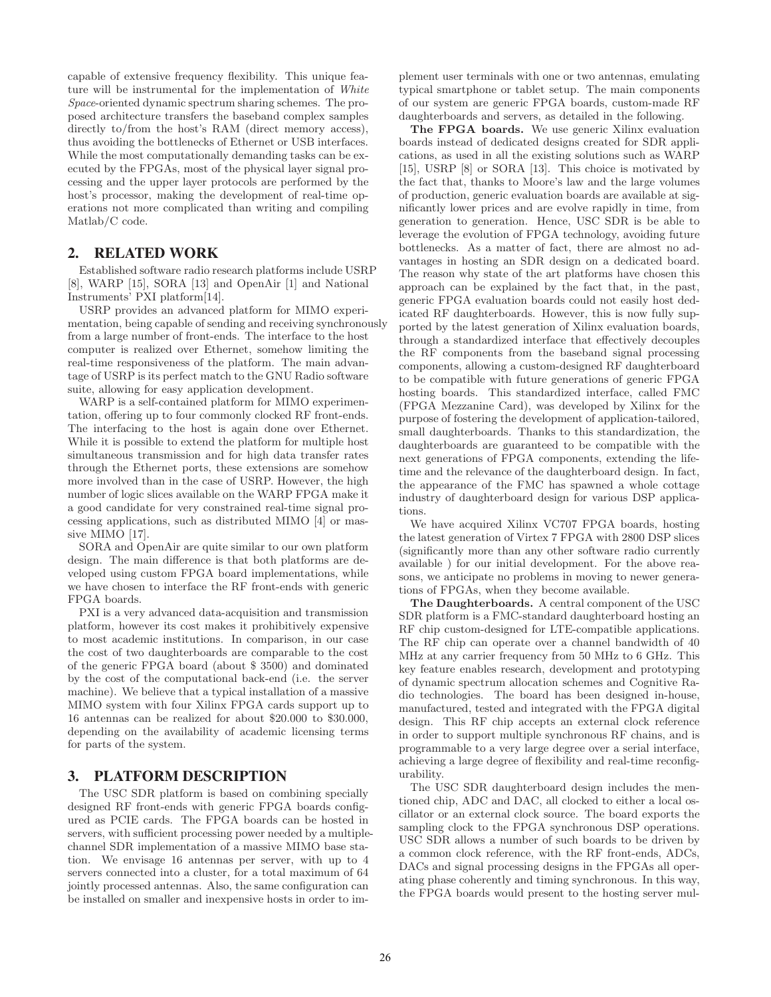capable of extensive frequency flexibility. This unique feature will be instrumental for the implementation of *White Space*-oriented dynamic spectrum sharing schemes. The proposed architecture transfers the baseband complex samples directly to/from the host's RAM (direct memory access), thus avoiding the bottlenecks of Ethernet or USB interfaces. While the most computationally demanding tasks can be executed by the FPGAs, most of the physical layer signal processing and the upper layer protocols are performed by the host's processor, making the development of real-time operations not more complicated than writing and compiling Matlab/C code.

#### 2. RELATED WORK

Established software radio research platforms include USRP [8], WARP [15], SORA [13] and OpenAir [1] and National Instruments' PXI platform[14].

USRP provides an advanced platform for MIMO experimentation, being capable of sending and receiving synchronously from a large number of front-ends. The interface to the host computer is realized over Ethernet, somehow limiting the real-time responsiveness of the platform. The main advantage of USRP is its perfect match to the GNU Radio software suite, allowing for easy application development.

WARP is a self-contained platform for MIMO experimentation, offering up to four commonly clocked RF front-ends. The interfacing to the host is again done over Ethernet. While it is possible to extend the platform for multiple host simultaneous transmission and for high data transfer rates through the Ethernet ports, these extensions are somehow more involved than in the case of USRP. However, the high number of logic slices available on the WARP FPGA make it a good candidate for very constrained real-time signal processing applications, such as distributed MIMO [4] or massive MIMO [17].

SORA and OpenAir are quite similar to our own platform design. The main difference is that both platforms are developed using custom FPGA board implementations, while we have chosen to interface the RF front-ends with generic FPGA boards.

PXI is a very advanced data-acquisition and transmission platform, however its cost makes it prohibitively expensive to most academic institutions. In comparison, in our case the cost of two daughterboards are comparable to the cost of the generic FPGA board (about \$ 3500) and dominated by the cost of the computational back-end (i.e. the server machine). We believe that a typical installation of a massive MIMO system with four Xilinx FPGA cards support up to 16 antennas can be realized for about \$20.000 to \$30.000, depending on the availability of academic licensing terms for parts of the system.

## 3. PLATFORM DESCRIPTION

The USC SDR platform is based on combining specially designed RF front-ends with generic FPGA boards configured as PCIE cards. The FPGA boards can be hosted in servers, with sufficient processing power needed by a multiplechannel SDR implementation of a massive MIMO base station. We envisage 16 antennas per server, with up to 4 servers connected into a cluster, for a total maximum of 64 jointly processed antennas. Also, the same configuration can be installed on smaller and inexpensive hosts in order to implement user terminals with one or two antennas, emulating typical smartphone or tablet setup. The main components of our system are generic FPGA boards, custom-made RF daughterboards and servers, as detailed in the following.

The FPGA boards. We use generic Xilinx evaluation boards instead of dedicated designs created for SDR applications, as used in all the existing solutions such as WARP [15], USRP [8] or SORA [13]. This choice is motivated by the fact that, thanks to Moore's law and the large volumes of production, generic evaluation boards are available at significantly lower prices and are evolve rapidly in time, from generation to generation. Hence, USC SDR is be able to leverage the evolution of FPGA technology, avoiding future bottlenecks. As a matter of fact, there are almost no advantages in hosting an SDR design on a dedicated board. The reason why state of the art platforms have chosen this approach can be explained by the fact that, in the past, generic FPGA evaluation boards could not easily host dedicated RF daughterboards. However, this is now fully supported by the latest generation of Xilinx evaluation boards, through a standardized interface that effectively decouples the RF components from the baseband signal processing components, allowing a custom-designed RF daughterboard to be compatible with future generations of generic FPGA hosting boards. This standardized interface, called FMC (FPGA Mezzanine Card), was developed by Xilinx for the purpose of fostering the development of application-tailored, small daughterboards. Thanks to this standardization, the daughterboards are guaranteed to be compatible with the next generations of FPGA components, extending the lifetime and the relevance of the daughterboard design. In fact, the appearance of the FMC has spawned a whole cottage industry of daughterboard design for various DSP applications.

We have acquired Xilinx VC707 FPGA boards, hosting the latest generation of Virtex 7 FPGA with 2800 DSP slices (significantly more than any other software radio currently available ) for our initial development. For the above reasons, we anticipate no problems in moving to newer generations of FPGAs, when they become available.

The Daughterboards. A central component of the USC SDR platform is a FMC-standard daughterboard hosting an RF chip custom-designed for LTE-compatible applications. The RF chip can operate over a channel bandwidth of 40 MHz at any carrier frequency from 50 MHz to 6 GHz. This key feature enables research, development and prototyping of dynamic spectrum allocation schemes and Cognitive Radio technologies. The board has been designed in-house, manufactured, tested and integrated with the FPGA digital design. This RF chip accepts an external clock reference in order to support multiple synchronous RF chains, and is programmable to a very large degree over a serial interface, achieving a large degree of flexibility and real-time reconfigurability.

The USC SDR daughterboard design includes the mentioned chip, ADC and DAC, all clocked to either a local oscillator or an external clock source. The board exports the sampling clock to the FPGA synchronous DSP operations. USC SDR allows a number of such boards to be driven by a common clock reference, with the RF front-ends, ADCs, DACs and signal processing designs in the FPGAs all operating phase coherently and timing synchronous. In this way, the FPGA boards would present to the hosting server mul-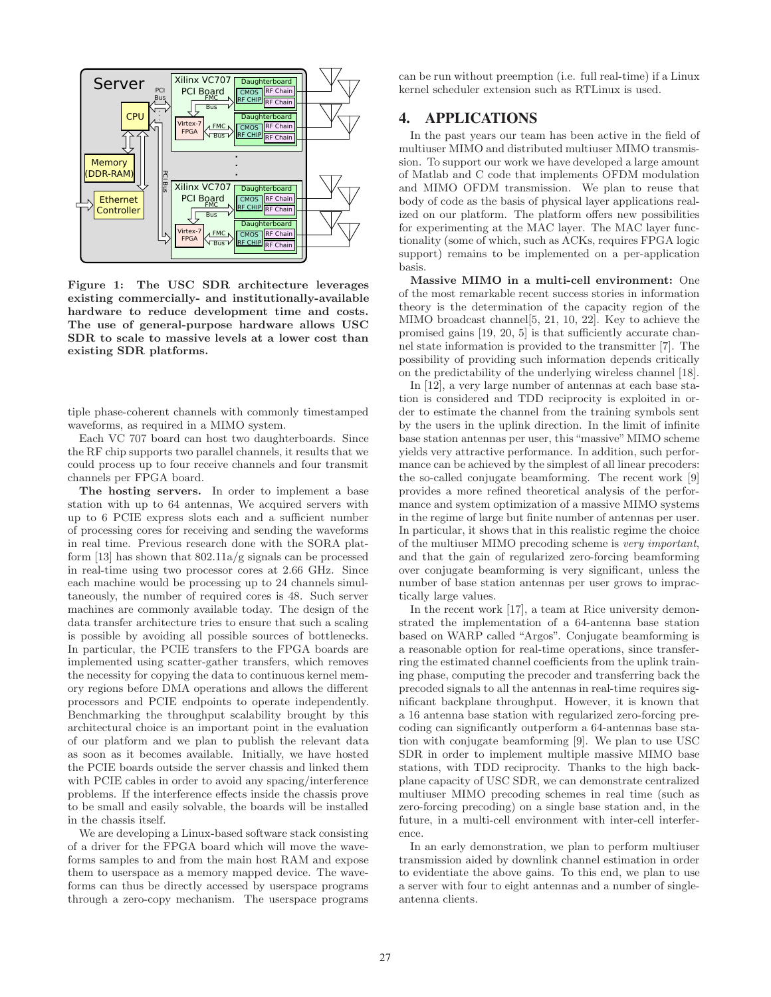

Figure 1: The USC SDR architecture leverages existing commercially- and institutionally-available hardware to reduce development time and costs. The use of general-purpose hardware allows USC SDR to scale to massive levels at a lower cost than existing SDR platforms.

tiple phase-coherent channels with commonly timestamped waveforms, as required in a MIMO system.

Each VC 707 board can host two daughterboards. Since the RF chip supports two parallel channels, it results that we could process up to four receive channels and four transmit channels per FPGA board.

The hosting servers. In order to implement a base station with up to 64 antennas, We acquired servers with up to 6 PCIE express slots each and a sufficient number of processing cores for receiving and sending the waveforms in real time. Previous research done with the SORA platform [13] has shown that 802.11a/g signals can be processed in real-time using two processor cores at 2.66 GHz. Since each machine would be processing up to 24 channels simultaneously, the number of required cores is 48. Such server machines are commonly available today. The design of the data transfer architecture tries to ensure that such a scaling is possible by avoiding all possible sources of bottlenecks. In particular, the PCIE transfers to the FPGA boards are implemented using scatter-gather transfers, which removes the necessity for copying the data to continuous kernel memory regions before DMA operations and allows the different processors and PCIE endpoints to operate independently. Benchmarking the throughput scalability brought by this architectural choice is an important point in the evaluation of our platform and we plan to publish the relevant data as soon as it becomes available. Initially, we have hosted the PCIE boards outside the server chassis and linked them with PCIE cables in order to avoid any spacing/interference problems. If the interference effects inside the chassis prove to be small and easily solvable, the boards will be installed in the chassis itself.

We are developing a Linux-based software stack consisting of a driver for the FPGA board which will move the waveforms samples to and from the main host RAM and expose them to userspace as a memory mapped device. The waveforms can thus be directly accessed by userspace programs through a zero-copy mechanism. The userspace programs can be run without preemption (i.e. full real-time) if a Linux kernel scheduler extension such as RTLinux is used.

## 4. APPLICATIONS

In the past years our team has been active in the field of multiuser MIMO and distributed multiuser MIMO transmission. To support our work we have developed a large amount of Matlab and C code that implements OFDM modulation and MIMO OFDM transmission. We plan to reuse that body of code as the basis of physical layer applications realized on our platform. The platform offers new possibilities for experimenting at the MAC layer. The MAC layer functionality (some of which, such as ACKs, requires FPGA logic support) remains to be implemented on a per-application basis.

Massive MIMO in a multi-cell environment: One of the most remarkable recent success stories in information theory is the determination of the capacity region of the MIMO broadcast channel[5, 21, 10, 22]. Key to achieve the promised gains [19, 20, 5] is that sufficiently accurate channel state information is provided to the transmitter [7]. The possibility of providing such information depends critically on the predictability of the underlying wireless channel [18].

In [12], a very large number of antennas at each base station is considered and TDD reciprocity is exploited in order to estimate the channel from the training symbols sent by the users in the uplink direction. In the limit of infinite base station antennas per user, this "massive"MIMO scheme yields very attractive performance. In addition, such performance can be achieved by the simplest of all linear precoders: the so-called conjugate beamforming. The recent work [9] provides a more refined theoretical analysis of the performance and system optimization of a massive MIMO systems in the regime of large but finite number of antennas per user. In particular, it shows that in this realistic regime the choice of the multiuser MIMO precoding scheme is *very important*, and that the gain of regularized zero-forcing beamforming over conjugate beamforming is very significant, unless the number of base station antennas per user grows to impractically large values.

In the recent work [17], a team at Rice university demonstrated the implementation of a 64-antenna base station based on WARP called "Argos". Conjugate beamforming is a reasonable option for real-time operations, since transferring the estimated channel coefficients from the uplink training phase, computing the precoder and transferring back the precoded signals to all the antennas in real-time requires significant backplane throughput. However, it is known that a 16 antenna base station with regularized zero-forcing precoding can significantly outperform a 64-antennas base station with conjugate beamforming [9]. We plan to use USC SDR in order to implement multiple massive MIMO base stations, with TDD reciprocity. Thanks to the high backplane capacity of USC SDR, we can demonstrate centralized multiuser MIMO precoding schemes in real time (such as zero-forcing precoding) on a single base station and, in the future, in a multi-cell environment with inter-cell interference.

In an early demonstration, we plan to perform multiuser transmission aided by downlink channel estimation in order to evidentiate the above gains. To this end, we plan to use a server with four to eight antennas and a number of singleantenna clients.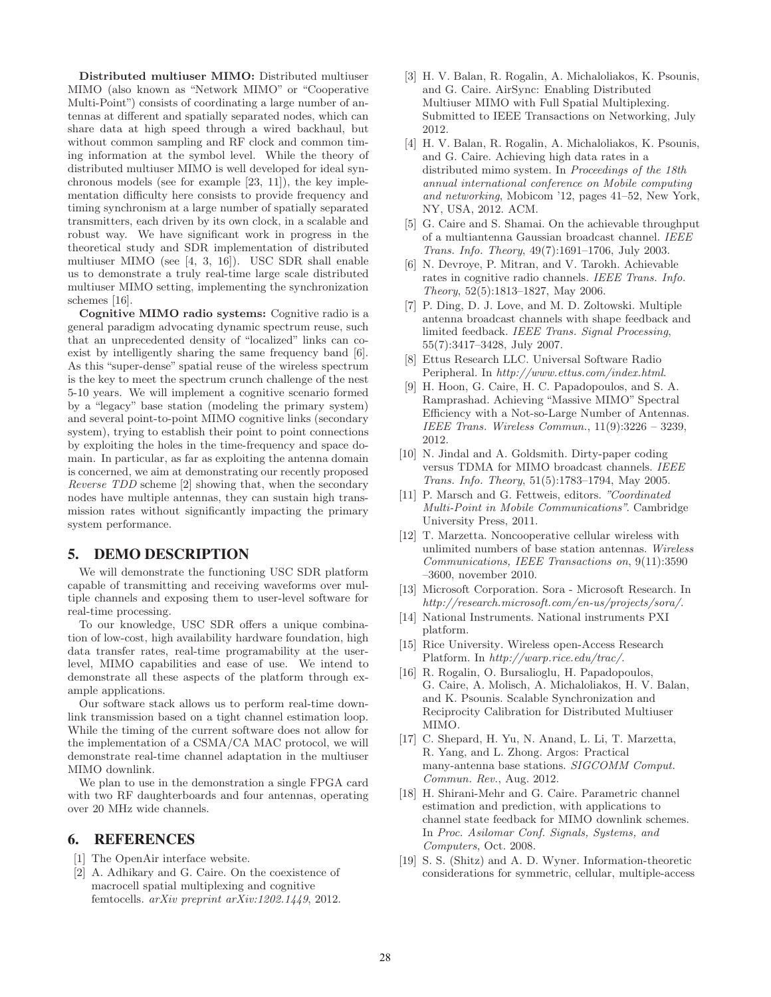Distributed multiuser MIMO: Distributed multiuser MIMO (also known as "Network MIMO" or "Cooperative Multi-Point") consists of coordinating a large number of antennas at different and spatially separated nodes, which can share data at high speed through a wired backhaul, but without common sampling and RF clock and common timing information at the symbol level. While the theory of distributed multiuser MIMO is well developed for ideal synchronous models (see for example [23, 11]), the key implementation difficulty here consists to provide frequency and timing synchronism at a large number of spatially separated transmitters, each driven by its own clock, in a scalable and robust way. We have significant work in progress in the theoretical study and SDR implementation of distributed multiuser MIMO (see [4, 3, 16]). USC SDR shall enable us to demonstrate a truly real-time large scale distributed multiuser MIMO setting, implementing the synchronization schemes [16].

Cognitive MIMO radio systems: Cognitive radio is a general paradigm advocating dynamic spectrum reuse, such that an unprecedented density of "localized" links can coexist by intelligently sharing the same frequency band [6]. As this "super-dense" spatial reuse of the wireless spectrum is the key to meet the spectrum crunch challenge of the nest 5-10 years. We will implement a cognitive scenario formed by a "legacy" base station (modeling the primary system) and several point-to-point MIMO cognitive links (secondary system), trying to establish their point to point connections by exploiting the holes in the time-frequency and space domain. In particular, as far as exploiting the antenna domain is concerned, we aim at demonstrating our recently proposed *Reverse TDD* scheme [2] showing that, when the secondary nodes have multiple antennas, they can sustain high transmission rates without significantly impacting the primary system performance.

#### 5. DEMO DESCRIPTION

We will demonstrate the functioning USC SDR platform capable of transmitting and receiving waveforms over multiple channels and exposing them to user-level software for real-time processing.

To our knowledge, USC SDR offers a unique combination of low-cost, high availability hardware foundation, high data transfer rates, real-time programability at the userlevel, MIMO capabilities and ease of use. We intend to demonstrate all these aspects of the platform through example applications.

Our software stack allows us to perform real-time downlink transmission based on a tight channel estimation loop. While the timing of the current software does not allow for the implementation of a CSMA/CA MAC protocol, we will demonstrate real-time channel adaptation in the multiuser MIMO downlink.

We plan to use in the demonstration a single FPGA card with two RF daughterboards and four antennas, operating over 20 MHz wide channels.

#### 6. REFERENCES

- [1] The OpenAir interface website.
- [2] A. Adhikary and G. Caire. On the coexistence of macrocell spatial multiplexing and cognitive femtocells. *arXiv preprint arXiv:1202.1449*, 2012.
- [3] H. V. Balan, R. Rogalin, A. Michaloliakos, K. Psounis, and G. Caire. AirSync: Enabling Distributed Multiuser MIMO with Full Spatial Multiplexing. Submitted to IEEE Transactions on Networking, July 2012.
- [4] H. V. Balan, R. Rogalin, A. Michaloliakos, K. Psounis, and G. Caire. Achieving high data rates in a distributed mimo system. In *Proceedings of the 18th annual international conference on Mobile computing and networking*, Mobicom '12, pages 41–52, New York, NY, USA, 2012. ACM.
- [5] G. Caire and S. Shamai. On the achievable throughput of a multiantenna Gaussian broadcast channel. *IEEE Trans. Info. Theory*, 49(7):1691–1706, July 2003.
- [6] N. Devroye, P. Mitran, and V. Tarokh. Achievable rates in cognitive radio channels. *IEEE Trans. Info. Theory*, 52(5):1813–1827, May 2006.
- [7] P. Ding, D. J. Love, and M. D. Zoltowski. Multiple antenna broadcast channels with shape feedback and limited feedback. *IEEE Trans. Signal Processing*, 55(7):3417–3428, July 2007.
- [8] Ettus Research LLC. Universal Software Radio Peripheral. In *http://www.ettus.com/index.html*.
- [9] H. Hoon, G. Caire, H. C. Papadopoulos, and S. A. Ramprashad. Achieving "Massive MIMO" Spectral Efficiency with a Not-so-Large Number of Antennas. *IEEE Trans. Wireless Commun.*, 11(9):3226 – 3239, 2012.
- [10] N. Jindal and A. Goldsmith. Dirty-paper coding versus TDMA for MIMO broadcast channels. *IEEE Trans. Info. Theory*, 51(5):1783–1794, May 2005.
- [11] P. Marsch and G. Fettweis, editors. *"Coordinated Multi-Point in Mobile Communications"*. Cambridge University Press, 2011.
- [12] T. Marzetta. Noncooperative cellular wireless with unlimited numbers of base station antennas. *Wireless Communications, IEEE Transactions on*, 9(11):3590 –3600, november 2010.
- [13] Microsoft Corporation. Sora Microsoft Research. In *http://research.microsoft.com/en-us/projects/sora/*.
- [14] National Instruments. National instruments PXI platform.
- [15] Rice University. Wireless open-Access Research Platform. In *http://warp.rice.edu/trac/*.
- [16] R. Rogalin, O. Bursalioglu, H. Papadopoulos, G. Caire, A. Molisch, A. Michaloliakos, H. V. Balan, and K. Psounis. Scalable Synchronization and Reciprocity Calibration for Distributed Multiuser MIMO.
- [17] C. Shepard, H. Yu, N. Anand, L. Li, T. Marzetta, R. Yang, and L. Zhong. Argos: Practical many-antenna base stations. *SIGCOMM Comput. Commun. Rev.*, Aug. 2012.
- [18] H. Shirani-Mehr and G. Caire. Parametric channel estimation and prediction, with applications to channel state feedback for MIMO downlink schemes. In *Proc. Asilomar Conf. Signals, Systems, and Computers*, Oct. 2008.
- [19] S. S. (Shitz) and A. D. Wyner. Information-theoretic considerations for symmetric, cellular, multiple-access